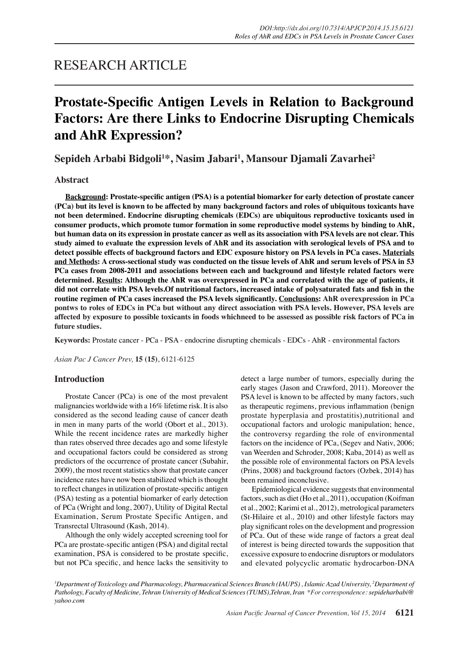## RESEARCH ARTICLE

# **Prostate-Specific Antigen Levels in Relation to Background Factors: Are there Links to Endocrine Disrupting Chemicals and AhR Expression?**

**Sepideh Arbabi Bidgoli<sup>1</sup> \*, Nasim Jabari<sup>1</sup> , Mansour Djamali Zavarhei<sup>2</sup>**

## **Abstract**

**Background: Prostate-specific antigen (PSA) is a potential biomarker for early detection of prostate cancer (PCa) but its level is known to be affected by many background factors and roles of ubiquitous toxicants have not been determined. Endocrine disrupting chemicals (EDCs) are ubiquitous reproductive toxicants used in consumer products, which promote tumor formation in some reproductive model systems by binding to AhR, but human data on its expression in prostate cancer as well as its association with PSA levels are not clear. This study aimed to evaluate the expression levels of AhR and its association with serological levels of PSA and to detect possible effects of background factors and EDC exposure history on PSA levels in PCa cases. Materials and Methods: A cross-sectional study was conducted on the tissue levels of AhR and serum levels of PSA in 53 PCa cases from 2008-2011 and associations between each and background and lifestyle related factors were determined. Results: Although the AhR was overexpressed in PCa and correlated with the age of patients, it did not correlate with PSA levels.Of nutritional factors, increased intake of polysaturated fats and fish in the routine regimen of PCa cases increased the PSA levels significantly. Conclusions: AhR overexpression in PCa pontws to roles of EDCs in PCa but without any direct association with PSA levels. However, PSA levels are affected by exposure to possible toxicants in foods whichneed to be assessed as possible risk factors of PCa in future studies.** 

**Keywords:** Prostate cancer - PCa - PSA - endocrine disrupting chemicals - EDCs - AhR - environmental factors

*Asian Pac J Cancer Prev,* **15 (15)**, 6121-6125

## **Introduction**

Prostate Cancer (PCa) is one of the most prevalent malignancies worldwide with a 16% lifetime risk. It is also considered as the second leading cause of cancer death in men in many parts of the world (Obort et al., 2013). While the recent incidence rates are markedly higher than rates observed three decades ago and some lifestyle and occupational factors could be considered as strong predictors of the occurrence of prostate cancer (Subahir, 2009), the most recent statistics show that prostate cancer incidence rates have now been stabilized which is thought to reflect changes in utilization of prostate-specific antigen (PSA) testing as a potential biomarker of early detection of PCa (Wright and long, 2007), Utility of Digital Rectal Examination, Serum Prostate Specific Antigen, and Transrectal Ultrasound (Kash, 2014).

Although the only widely accepted screening tool for PCa are prostate-specific antigen (PSA) and digital rectal examination, PSA is considered to be prostate specific, but not PCa specific, and hence lacks the sensitivity to

detect a large number of tumors, especially during the early stages (Jason and Crawford, 2011). Moreover the PSA level is known to be affected by many factors, such as therapeutic regimens, previous inflammation (benign prostate hyperplasia and prostatitis),nutritional and occupational factors and urologic manipulation; hence, the controversy regarding the role of environmental factors on the incidence of PCa, (Segev and Nativ, 2006; van Weerden and Schroder, 2008; Kaba, 2014) as well as the possible role of environmental factors on PSA levels (Prins, 2008) and background factors (Ozbek, 2014) has been remained inconclusive.

Epidemiological evidence suggests that environmental factors, such as diet (Ho et al., 2011), occupation (Koifman et al., 2002; Karimi et al., 2012), metrological parameters (St-Hilaire et al., 2010) and other lifestyle factors may play significant roles on the development and progression of PCa. Out of these wide range of factors a great deal of interest is being directed towards the supposition that excessive exposure to endocrine disruptors or modulators and elevated polycyclic aromatic hydrocarbon-DNA

*1 Department of Toxicology and Pharmacology, Pharmaceutical Sciences Branch (IAUPS) , Islamic Azad University, 2 Department of Pathology, Faculty of Medicine, Tehran University of Medical Sciences (TUMS),Tehran, Iran \*For correspondence: sepideharbabi@ yahoo.com*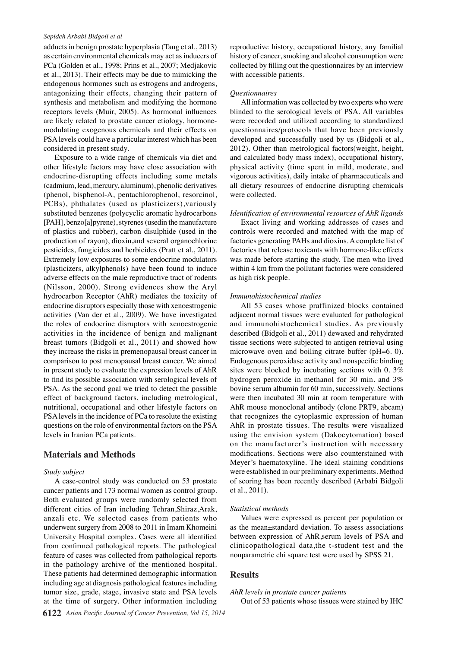#### *Sepideh Arbabi Bidgoli et al*

adducts in benign prostate hyperplasia (Tang et al., 2013) as certain environmental chemicals may act as inducers of PCa (Golden et al., 1998; Prins et al., 2007; Medjakovic et al., 2013). Their effects may be due to mimicking the endogenous hormones such as estrogens and androgens, antagonizing their effects, changing their pattern of synthesis and metabolism and modifying the hormone receptors levels (Muir, 2005). As hormonal influences are likely related to prostate cancer etiology, hormonemodulating exogenous chemicals and their effects on PSA levels could have a particular interest which has been considered in present study.

Exposure to a wide range of chemicals via diet and other lifestyle factors may have close association with endocrine-disrupting effects including some metals (cadmium, lead, mercury, aluminum), phenolic derivatives (phenol, bisphenol-A, pentachlorophenol, resorcinol, PCBs), phthalates (used as plasticizers),variously substituted benzenes (polycyclic aromatic hydrocarbons [PAH], benzo[a]pyrene), styrenes (usedin the manufacture of plastics and rubber), carbon disulphide (used in the production of rayon), dioxin,and several organochlorine pesticides, fungicides and herbicides (Pratt et al., 2011). Extremely low exposures to some endocrine modulators (plasticizers, alkylphenols) have been found to induce adverse effects on the male reproductive tract of rodents (Nilsson, 2000). Strong evidences show the Aryl hydrocarbon Receptor (AhR) mediates the toxicity of endocrine disruptors especially those with xenoestrogenic activities (Van der et al., 2009). We have investigated the roles of endocrine disruptors with xenoestrogenic activities in the incidence of benign and malignant breast tumors (Bidgoli et al., 2011) and showed how they increase the risks in premenopausal breast cancer in comparison to post menopausal breast cancer. We aimed in present study to evaluate the expression levels of AhR to find its possible association with serological levels of PSA. As the second goal we tried to detect the possible effect of background factors, including metrological, nutritional, occupational and other lifestyle factors on PSA levels in the incidence of PCa to resolute the existing questions on the role of environmental factors on the PSA levels in Iranian PCa patients.

## **Materials and Methods**

#### *Study subject*

A case-control study was conducted on 53 prostate cancer patients and 173 normal women as control group. Both evaluated groups were randomly selected from different cities of Iran including Tehran,Shiraz,Arak, anzali etc. We selected cases from patients who underwent surgery from 2008 to 2011 in Imam Khomeini University Hospital complex. Cases were all identified from confirmed pathological reports. The pathological feature of cases was collected from pathological reports in the pathology archive of the mentioned hospital. These patients had determined demographic information including age at diagnosis pathological features including tumor size, grade, stage, invasive state and PSA levels at the time of surgery. Other information including

reproductive history, occupational history, any familial history of cancer, smoking and alcohol consumption were collected by filling out the questionnaires by an interview with accessible patients.

#### *Questionnaires*

All information was collected by two experts who were blinded to the serological levels of PSA. All variables were recorded and utilized according to standardized questionnaires/protocols that have been previously developed and successfully used by us (Bidgoli et al., 2012). Other than metrological factors(weight, height, and calculated body mass index), occupational history, physical activity (time spent in mild, moderate, and vigorous activities), daily intake of pharmaceuticals and all dietary resources of endocrine disrupting chemicals were collected.

#### *Identification of environmental resources of AhR ligands*

Exact living and working addresses of cases and controls were recorded and matched with the map of factories generating PAHs and dioxins. A complete list of factories that release toxicants with hormone-like effects was made before starting the study. The men who lived within 4 km from the pollutant factories were considered as high risk people.

#### *Immunohistochemical studies*

All 53 cases whose praffinized blocks contained adjacent normal tissues were evaluated for pathological and immunohistochemical studies. As previously described (Bidgoli et al., 2011) dewaxed and rehydrated tissue sections were subjected to antigen retrieval using microwave oven and boiling citrate buffer (pH=6. 0). Endogenous peroxidase activity and nonspecific binding sites were blocked by incubating sections with 0. 3% hydrogen peroxide in methanol for 30 min. and 3% bovine serum albumin for 60 min, successively. Sections were then incubated 30 min at room temperature with AhR mouse monoclonal antibody (clone PRT9, abcam) that recognizes the cytoplasmic expression of human AhR in prostate tissues. The results were visualized using the envision system (Dakocytomation) based on the manufacturer's instruction with necessary modifications. Sections were also counterstained with Meyer's haematoxyline. The ideal staining conditions were established in our preliminary experiments. Method of scoring has been recently described (Arbabi Bidgoli et al., 2011).

#### *Statistical methods*

Values were expressed as percent per population or as the mean±standard deviation. To assess associations between expression of AhR,serum levels of PSA and clinicopathological data,the t-student test and the nonparametric chi square test were used by SPSS 21.

## **Results**

#### *AhR levels in prostate cancer patients*

Out of 53 patients whose tissues were stained by IHC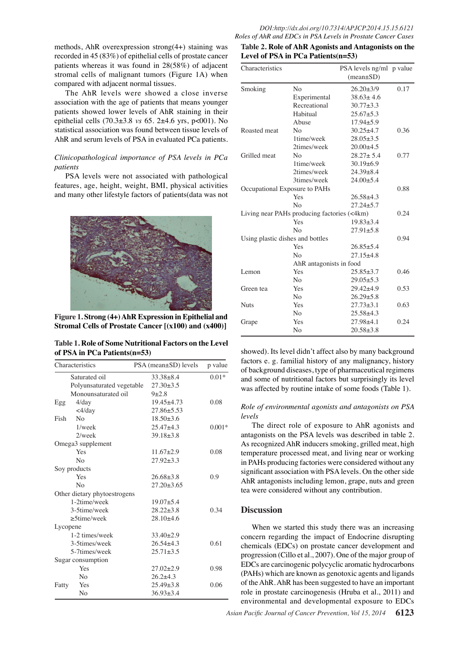methods, AhR overexpression strong(4+) staining was recorded in 45 (83%) of epithelial cells of prostate cancer patients whereas it was found in 28(58%) of adjacent stromal cells of malignant tumors (Figure 1A) when compared with adjacent normal tissues.

The AhR levels were showed a close inverse association with the age of patients that means younger patients showed lower levels of AhR staining in their epithelial cells (70.3±3.8 *vs* 65. 2±4.6 yrs, p<001). No statistical association was found between tissue levels of AhR and serum levels of PSA in evaluated PCa patients.

## *Clinicopathological importance of PSA levels in PCa patients*

PSA levels were not associated with pathological features, age, height, weight, BMI, physical activities and many other lifestyle factors of patients(data was not



**Figure 1. Strong (4+) AhR Expression in Epithelial and Stromal Cells of Prostate Cancer [(x100) and (x400)]**

| Table 1. Role of Some Nutritional Factors on the Level |
|--------------------------------------------------------|
| of PSA in PCa Patients(n=53)                           |

| Characteristics |                              | PSA (mean±SD) levels | p value  |
|-----------------|------------------------------|----------------------|----------|
|                 | Saturated oil                | $33.38 + 8.4$        | $0.01*$  |
|                 | Polyunsaturated vegetable    | $27.30 + 3.5$        |          |
|                 | Monounsaturated oil          | $9 + 2.8$            |          |
| Egg             | $4$ /day                     | $19.45 + 4.73$       | 0.08     |
|                 | $\langle 4/\text{day}$       | $27.86 + 5.53$       |          |
| Fish            | No                           | $18.50 \pm 3.6$      |          |
|                 | $1$ /week                    | $25.47 + 4.3$        | $0.001*$ |
|                 | $2$ /week                    | $39.18 + 3.8$        |          |
|                 | Omega3 supplement            |                      |          |
|                 | Yes                          | $11.67+2.9$          | 0.08     |
|                 | N <sub>0</sub>               | $27.92 + 3.3$        |          |
|                 | Soy products                 |                      |          |
|                 | Yes                          | $26.68 + 3.8$        | 0.9      |
|                 | No                           | $27.20 \pm 3.65$     |          |
|                 | Other dietary phytoestrogens |                      |          |
|                 | 1-2time/week                 | $19.07 + 5.4$        |          |
|                 | 3-5time/week                 | $28.22 \pm 3.8$      | 0.34     |
|                 | $\geq$ 5time/week            | $28.10+4.6$          |          |
|                 | Lycopene                     |                      |          |
|                 | 1-2 times/week               | $33.40 + 2.9$        |          |
| 3-5times/week   |                              | $26.54 \pm 4.3$      | 0.61     |
| 5-7times/week   |                              | $25.71 \pm 3.5$      |          |
|                 | Sugar consumption            |                      |          |
|                 | Yes                          | $27.02 \pm 2.9$      | 0.98     |
|                 | N <sub>0</sub>               | $26.2 + 4.3$         |          |
| Fatty           | Yes                          | $25.49 + 3.8$        | 0.06     |
|                 | N <sub>0</sub>               | $36.93 + 3.4$        |          |

*DOI:http://dx.doi.org/10.7314/APJCP.2014.15.15.6121 Roles of AhR and EDCs in PSA Levels in Prostate Cancer Cases* 

| Table 2. Role of AhR Agonists and Antagonists on the |  |
|------------------------------------------------------|--|
| Level of PSA in PCa Patients(n=53)                   |  |

| Characteristics                             |                         | PSA levels ng/ml p value |      |  |  |
|---------------------------------------------|-------------------------|--------------------------|------|--|--|
|                                             |                         | $(mean \pm SD)$          |      |  |  |
| Smoking                                     | N <sub>0</sub>          | $26.20 \pm 3/9$          | 0.17 |  |  |
|                                             | Experimental            | $38.63 \pm 4.6$          |      |  |  |
|                                             | Recreational            | $30.77 + 3.3$            |      |  |  |
|                                             | Habitual                | $25.67 + 5.3$            |      |  |  |
|                                             | Abuse                   | $17.94 \pm 5.9$          |      |  |  |
| Roasted meat                                | N <sub>0</sub>          | $30.25 \pm 4.7$          | 0.36 |  |  |
|                                             | 1time/week              | $28.05 \pm 3.5$          |      |  |  |
|                                             | 2times/week             | $20.00+4.5$              |      |  |  |
| Grilled meat                                | N <sub>0</sub>          | $28.27 \pm 5.4$          | 0.77 |  |  |
|                                             | 1time/week              | $30.19 \pm 6.9$          |      |  |  |
|                                             | 2times/week             | $24.39 \pm 8.4$          |      |  |  |
|                                             | 3times/week             | $24.00 + 5.4$            |      |  |  |
| Occupational Exposure to PAHs               |                         | 0.88                     |      |  |  |
|                                             | Yes                     | $26.58 \pm 4.3$          |      |  |  |
|                                             | No                      | $27.24 + 5.7$            |      |  |  |
| Living near PAHs producing factories (<4km) |                         | 0.24                     |      |  |  |
|                                             | Yes                     | $19.83 + 3.4$            |      |  |  |
|                                             | No                      | $27.91 \pm 5.8$          |      |  |  |
| Using plastic dishes and bottles            |                         |                          |      |  |  |
|                                             | Yes                     | $26.85 \pm 5.4$          |      |  |  |
|                                             | N <sub>0</sub>          | $27.15 \pm 4.8$          |      |  |  |
|                                             | AhR antagonists in food |                          |      |  |  |
| Lemon                                       | Yes                     | $25.85 + 3.7$            | 0.46 |  |  |
|                                             | N <sub>o</sub>          | $29.05 \pm 5.3$          |      |  |  |
| Green tea                                   | Yes                     | 29.42±4.9                | 0.53 |  |  |
|                                             | No                      | $26.29 \pm 5.8$          |      |  |  |
| <b>Nuts</b>                                 | Yes                     | $27.73 + 3.1$            | 0.63 |  |  |
|                                             | N <sub>0</sub>          | $25.58 \pm 4.3$          |      |  |  |
| Grape                                       | Yes                     | $27.98 + 4.1$            | 0.24 |  |  |
|                                             | N <sub>0</sub>          | $20.58 \pm 3.8$          |      |  |  |

showed). Its level didn't affect also by many background factors e. g. familial history of any malignancy, history of background diseases, type of pharmaceutical regimens and some of nutritional factors but surprisingly its level was affected by routine intake of some foods (Table 1).

## *Role of environmental agonists and antagonists on PSA levels*

The direct role of exposure to AhR agonists and antagonists on the PSA levels was described in table 2. As recognized AhR inducers smoking, grilled meat, high temperature processed meat, and living near or working in PAHs producing factories were considered without any significant association with PSA levels. On the other side AhR antagonists including lemon, grape, nuts and green tea were considered without any contribution.

## **Discussion**

When we started this study there was an increasing concern regarding the impact of Endocrine disrupting chemicals (EDCs) on prostate cancer development and progression (Cillo et al., 2007). One of the major group of EDCs are carcinogenic polycyclic aromatic hydrocarbons (PAHs) which are known as genotoxic agents and ligands of the AhR. AhR has been suggested to have an important role in prostate carcinogenesis (Hruba et al., 2011) and environmental and developmental exposure to EDCs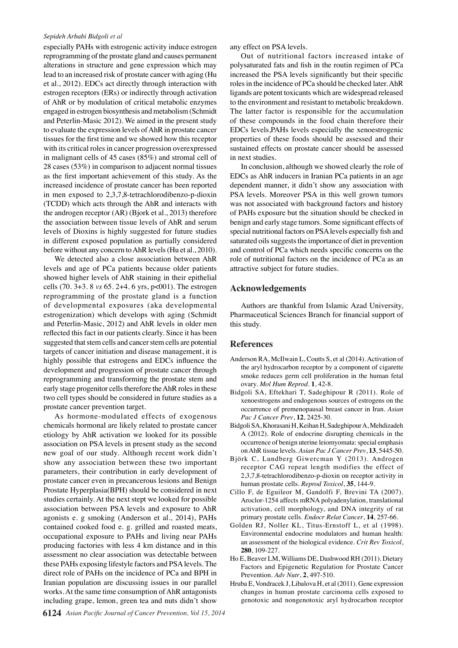#### *Sepideh Arbabi Bidgoli et al*

especially PAHs with estrogenic activity induce estrogen reprogramming of the prostate gland and causes permanent alterations in structure and gene expression which may lead to an increased risk of prostate cancer with aging (Hu et al., 2012). EDCs act directly through interaction with estrogen receptors (ERs) or indirectly through activation of AhR or by modulation of critical metabolic enzymes engaged in estrogen biosynthesis and metabolism (Schmidt and Peterlin-Masic 2012). We aimed in the present study to evaluate the expression levels of AhR in prostate cancer tissues for the first time and we showed how this receptor with its critical roles in cancer progression overexpressed in malignant cells of 45 cases (85%) and stromal cell of 28 cases (53%) in comparison to adjacent normal tissues as the first important achievement of this study. As the increased incidence of prostate cancer has been reported in men exposed to 2,3,7,8-tetrachlorodibenzo-p-dioxin (TCDD) which acts through the AhR and interacts with the androgen receptor (AR) (Bjork et al., 2013) therefore the association between tissue levels of AhR and serum levels of Dioxins is highly suggested for future studies in different exposed population as partially considered before without any concern to AhR levels (Hu et al., 2010).

We detected also a close association between AhR levels and age of PCa patients because older patients showed higher levels of AhR staining in their epithelial cells (70. 3+3. 8 *vs* 65. 2+4. 6 yrs, p<001). The estrogen reprogramming of the prostate gland is a function of developmental exposures (aka developmental estrogenization) which develops with aging (Schmidt and Peterlin-Masic, 2012) and AhR levels in older men reflected this fact in our patients clearly. Since it has been suggested that stem cells and cancer stem cells are potential targets of cancer initiation and disease management, it is highly possible that estrogens and EDCs influence the development and progression of prostate cancer through reprogramming and transforming the prostate stem and early stage progenitor cells therefore the AhR roles in these two cell types should be considered in future studies as a prostate cancer prevention target.

As hormone-modulated effects of exogenous chemicals hormonal are likely related to prostate cancer etiology by AhR activation we looked for its possible association on PSA levels in present study as the second new goal of our study. Although recent work didn't show any association between these two important parameters, their contribution in early development of prostate cancer even in precancerous lesions and Benign Prostate Hyperplasia(BPH) should be considered in next studies certainly. At the next stept we looked for possible association between PSA levels and exposure to AhR agonists e. g smoking (Anderson et al., 2014), PAHs contained cooked food e. g. grilled and roasted meats, occupational exposure to PAHs and living near PAHs producing factories with less 4 km distance and in this assessment no clear association was detectable between these PAHs exposing lifestyle factors and PSA levels. The direct role of PAHs on the incidence of PCa and BPH in Iranian population are discussing issues in our parallel works. At the same time consumption of AhR antagonists including grape, lemon, green tea and nuts didn't show

any effect on PSA levels.

Out of nutritional factors increased intake of polysaturated fats and fish in the routin regimen of PCa increased the PSA levels significantly but their specific roles in the incidence of PCa should be checked later. AhR ligands are potent toxicants which are widespread released to the environment and resistant to metabolic breakdown. The latter factor is responsible for the accumulation of these compounds in the food chain therefore their EDCs levels,PAHs levels especially the xenoestrogenic properties of these foods should be assessed and their sustained effects on prostate cancer should be assessed in next studies.

In conclusion, although we showed clearly the role of EDCs as AhR inducers in Iranian PCa patients in an age dependent manner, it didn't show any association with PSA levels. Moreover PSA in this well grown tumors was not associated with background factors and history of PAHs exposure but the situation should be checked in benign and early stage tumors. Some significant effects of special nutritional factors on PSA levels especially fish and saturated oils suggests the importance of diet in prevention and control of PCa which needs specific concerns on the role of nutritional factors on the incidence of PCa as an attractive subject for future studies.

#### **Acknowledgements**

Authors are thankful from Islamic Azad University, Pharmaceutical Sciences Branch for financial support of this study.

#### **References**

- Anderson RA, McIlwain L, Coutts S, et al (2014). Activation of the aryl hydrocarbon receptor by a component of cigarette smoke reduces germ cell proliferation in the human fetal ovary. *Mol Hum Reprod*. **1**, 42-8.
- Bidgoli SA, Eftekhari T, Sadeghipour R (2011). Role of xenoestrogens and endogenous sources of estrogens on the occurrence of premenopausal breast cancer in Iran. *Asian Pac J Cancer Prev*, **12**, 2425-30.
- Bidgoli SA, Khorasani H, Keihan H, Sadeghipour A, Mehdizadeh A (2012). Role of endocrine disrupting chemicals in the occurrence of benign uterine leiomyomata: special emphasis on AhR tissue levels. *Asian Pac J Cancer Prev*, **13**, 5445-50.
- Björk C, Lundberg Giwercman Y (2013). Androgen receptor CAG repeat length modifies the effect of 2,3,7,8-tetrachlorodibenzo-p-dioxin on receptor activity in human prostate cells. *Reprod Toxicol*, **35**, 144-9.
- Cillo F, de Eguileor M, Gandolfi F, Brevini TA (2007). Aroclor-1254 affects mRNA polyadenylation, translational activation, cell morphology, and DNA integrity of rat primary prostate cells. *Endocr Relat Cancer*, **14**, 257-66.
- Golden RJ, Noller KL, Titus-Ernstoff L, et al (1998). Environmental endocrine modulators and human health: an assessment of the biological evidence. *Crit Rev Toxicol*, **280**, 109-227.
- Ho E, Beaver LM, Williams DE, Dashwood RH (2011). Dietary Factors and Epigenetic Regulation for Prostate Cancer Prevention. *Adv Nutr*, **2**, 497-510.
- Hruba E, Vondracek J, Libalova H, et al (2011). Gene expression changes in human prostate carcinoma cells exposed to genotoxic and nongenotoxic aryl hydrocarbon receptor